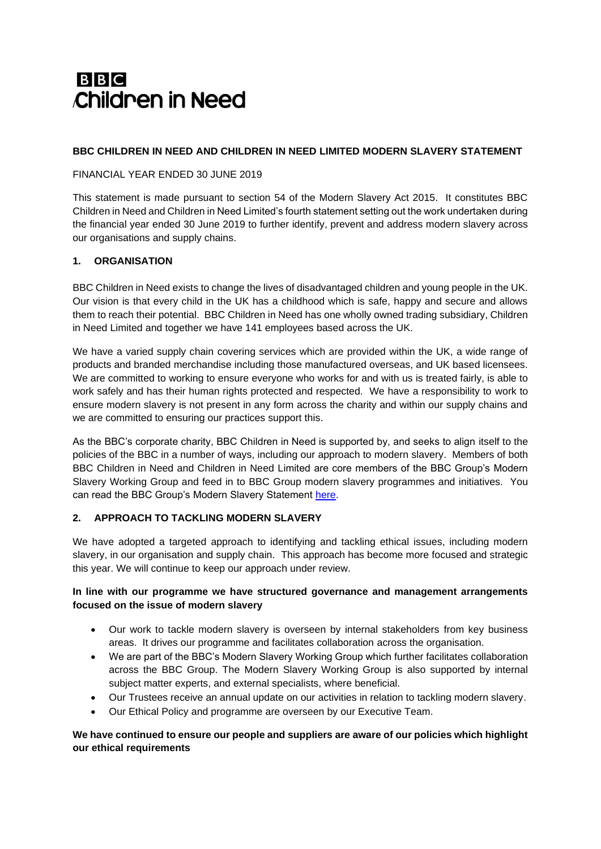# **BBC Children in Need**

### **BBC CHILDREN IN NEED AND CHILDREN IN NEED LIMITED MODERN SLAVERY STATEMENT**

#### FINANCIAL YEAR ENDED 30 JUNE 2019

This statement is made pursuant to section 54 of the Modern Slavery Act 2015. It constitutes BBC Children in Need and Children in Need Limited's fourth statement setting out the work undertaken during the financial year ended 30 June 2019 to further identify, prevent and address modern slavery across our organisations and supply chains.

### **1. ORGANISATION**

BBC Children in Need exists to change the lives of disadvantaged children and young people in the UK. Our vision is that every child in the UK has a childhood which is safe, happy and secure and allows them to reach their potential. BBC Children in Need has one wholly owned trading subsidiary, Children in Need Limited and together we have 141 employees based across the UK.

We have a varied supply chain covering services which are provided within the UK, a wide range of products and branded merchandise including those manufactured overseas, and UK based licensees. We are committed to working to ensure everyone who works for and with us is treated fairly, is able to work safely and has their human rights protected and respected. We have a responsibility to work to ensure modern slavery is not present in any form across the charity and within our supply chains and we are committed to ensuring our practices support this.

As the BBC's corporate charity, BBC Children in Need is supported by, and seeks to align itself to the policies of the BBC in a number of ways, including our approach to modern slavery. Members of both BBC Children in Need and Children in Need Limited are core members of the BBC Group's Modern Slavery Working Group and feed in to BBC Group modern slavery programmes and initiatives. You can read the BBC Group's Modern Slavery Statement [here.](http://downloads.bbc.co.uk/aboutthebbc/reports/pdf/bbcmsa2019.pdf)

# **2. APPROACH TO TACKLING MODERN SLAVERY**

We have adopted a targeted approach to identifying and tackling ethical issues, including modern slavery, in our organisation and supply chain. This approach has become more focused and strategic this year. We will continue to keep our approach under review.

### **In line with our programme we have structured governance and management arrangements focused on the issue of modern slavery**

- Our work to tackle modern slavery is overseen by internal stakeholders from key business areas. It drives our programme and facilitates collaboration across the organisation.
- We are part of the BBC's Modern Slavery Working Group which further facilitates collaboration across the BBC Group. The Modern Slavery Working Group is also supported by internal subject matter experts, and external specialists, where beneficial.
- Our Trustees receive an annual update on our activities in relation to tackling modern slavery.
- Our Ethical Policy and programme are overseen by our Executive Team.

### **We have continued to ensure our people and suppliers are aware of our policies which highlight our ethical requirements**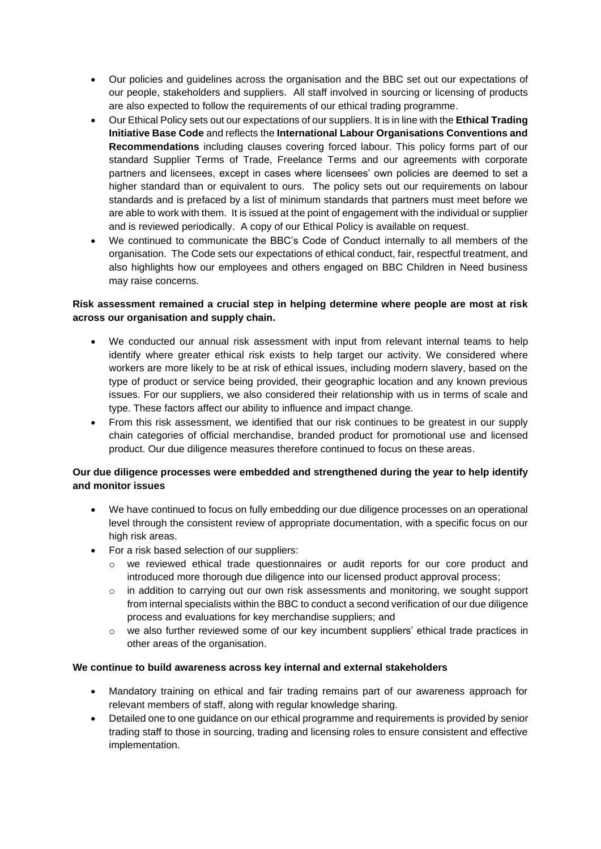- Our policies and guidelines across the organisation and the BBC set out our expectations of our people, stakeholders and suppliers. All staff involved in sourcing or licensing of products are also expected to follow the requirements of our ethical trading programme.
- Our Ethical Policy sets out our expectations of our suppliers. It is in line with the **Ethical Trading Initiative Base Code** and reflects the **International Labour Organisations Conventions and Recommendations** including clauses covering forced labour. This policy forms part of our standard Supplier Terms of Trade, Freelance Terms and our agreements with corporate partners and licensees, except in cases where licensees' own policies are deemed to set a higher standard than or equivalent to ours. The policy sets out our requirements on labour standards and is prefaced by a list of minimum standards that partners must meet before we are able to work with them. It is issued at the point of engagement with the individual or supplier and is reviewed periodically. A copy of our Ethical Policy is available on request.
- We continued to communicate the BBC's Code of Conduct internally to all members of the organisation. The Code sets our expectations of ethical conduct, fair, respectful treatment, and also highlights how our employees and others engaged on BBC Children in Need business may raise concerns.

### **Risk assessment remained a crucial step in helping determine where people are most at risk across our organisation and supply chain.**

- We conducted our annual risk assessment with input from relevant internal teams to help identify where greater ethical risk exists to help target our activity. We considered where workers are more likely to be at risk of ethical issues, including modern slavery, based on the type of product or service being provided, their geographic location and any known previous issues. For our suppliers, we also considered their relationship with us in terms of scale and type. These factors affect our ability to influence and impact change.
- From this risk assessment, we identified that our risk continues to be greatest in our supply chain categories of official merchandise, branded product for promotional use and licensed product. Our due diligence measures therefore continued to focus on these areas.

# **Our due diligence processes were embedded and strengthened during the year to help identify and monitor issues**

- We have continued to focus on fully embedding our due diligence processes on an operational level through the consistent review of appropriate documentation, with a specific focus on our high risk areas.
- For a risk based selection of our suppliers:
	- o we reviewed ethical trade questionnaires or audit reports for our core product and introduced more thorough due diligence into our licensed product approval process;
	- $\circ$  in addition to carrying out our own risk assessments and monitoring, we sought support from internal specialists within the BBC to conduct a second verification of our due diligence process and evaluations for key merchandise suppliers; and
	- $\circ$  we also further reviewed some of our key incumbent suppliers' ethical trade practices in other areas of the organisation.

#### **We continue to build awareness across key internal and external stakeholders**

- Mandatory training on ethical and fair trading remains part of our awareness approach for relevant members of staff, along with regular knowledge sharing.
- Detailed one to one guidance on our ethical programme and requirements is provided by senior trading staff to those in sourcing, trading and licensing roles to ensure consistent and effective implementation.